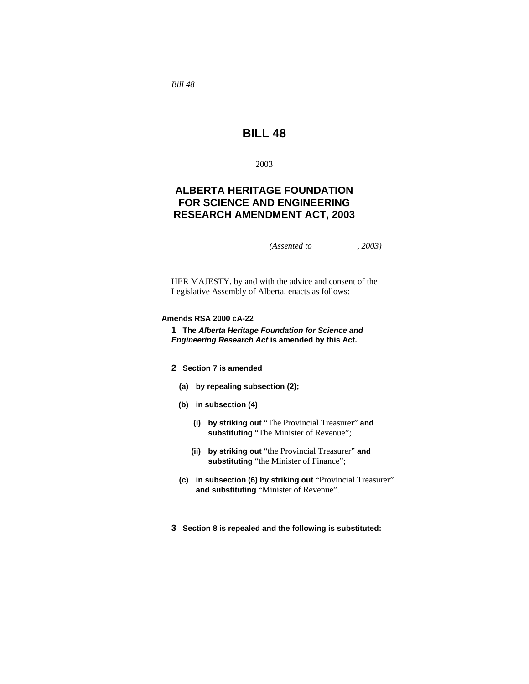*Bill 48* 

# **BILL 48**

2003

# **ALBERTA HERITAGE FOUNDATION FOR SCIENCE AND ENGINEERING RESEARCH AMENDMENT ACT, 2003**

*(Assented to , 2003)* 

HER MAJESTY, by and with the advice and consent of the Legislative Assembly of Alberta, enacts as follows:

### **Amends RSA 2000 cA-22**

**1 The** *Alberta Heritage Foundation for Science and Engineering Research Act* **is amended by this Act.** 

## **2 Section 7 is amended**

- **(a) by repealing subsection (2);**
- **(b) in subsection (4)** 
	- **(i) by striking out** "The Provincial Treasurer" **and substituting** "The Minister of Revenue";
	- **(ii) by striking out** "the Provincial Treasurer" **and**  substituting "the Minister of Finance";
- **(c) in subsection (6) by striking out** "Provincial Treasurer" **and substituting** "Minister of Revenue".
- **3 Section 8 is repealed and the following is substituted:**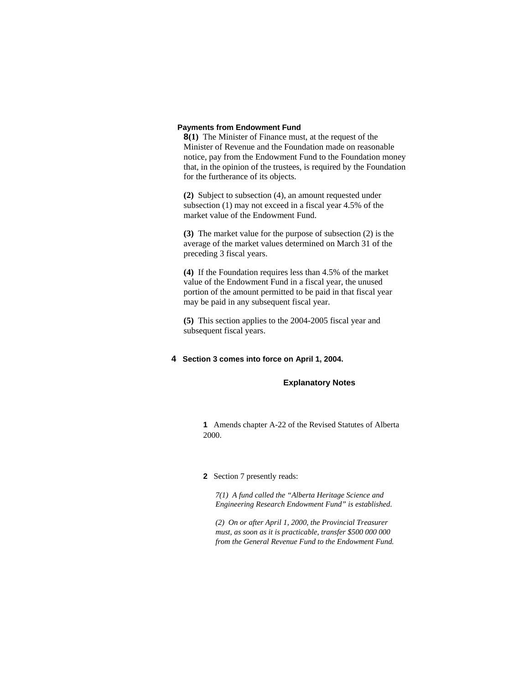#### **Payments from Endowment Fund**

**8(1)** The Minister of Finance must, at the request of the Minister of Revenue and the Foundation made on reasonable notice, pay from the Endowment Fund to the Foundation money that, in the opinion of the trustees, is required by the Foundation for the furtherance of its objects.

**(2)** Subject to subsection (4), an amount requested under subsection (1) may not exceed in a fiscal year 4.5% of the market value of the Endowment Fund.

**(3)** The market value for the purpose of subsection (2) is the average of the market values determined on March 31 of the preceding 3 fiscal years.

**(4)** If the Foundation requires less than 4.5% of the market value of the Endowment Fund in a fiscal year, the unused portion of the amount permitted to be paid in that fiscal year may be paid in any subsequent fiscal year.

**(5)** This section applies to the 2004-2005 fiscal year and subsequent fiscal years.

#### **4 Section 3 comes into force on April 1, 2004.**

#### **Explanatory Notes**

**1** Amends chapter A-22 of the Revised Statutes of Alberta 2000.

#### **2** Section 7 presently reads:

*7(1) A fund called the "Alberta Heritage Science and Engineering Research Endowment Fund" is established.* 

*(2) On or after April 1, 2000, the Provincial Treasurer must, as soon as it is practicable, transfer \$500 000 000 from the General Revenue Fund to the Endowment Fund.*